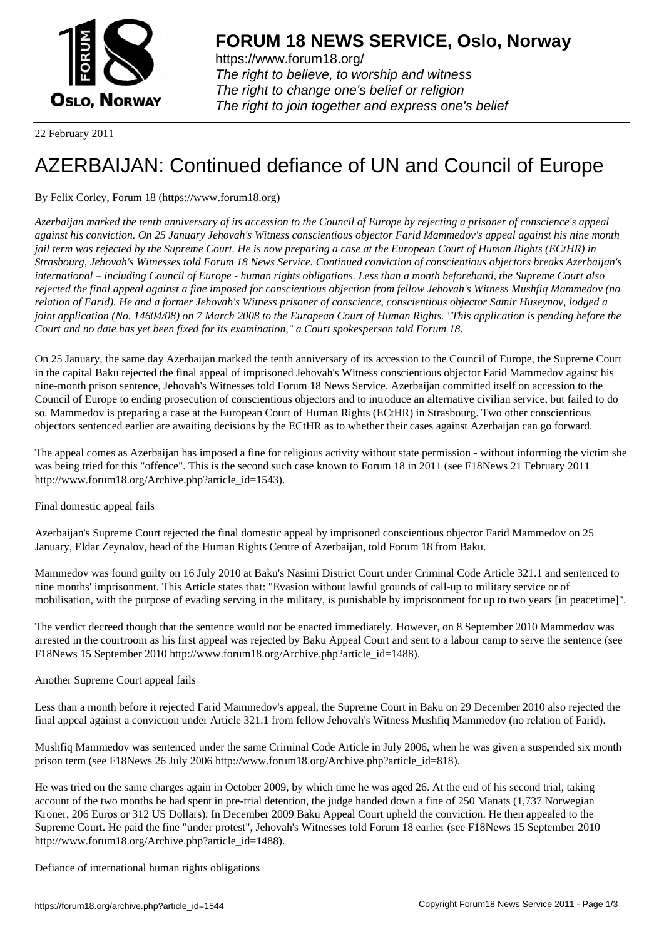

https://www.forum18.org/ The right to believe, to worship and witness The right to change one's belief or religion [The right to join together a](https://www.forum18.org/)nd express one's belief

22 February 2011

# [AZERBAIJAN: C](https://www.forum18.org)ontinued defiance of UN and Council of Europe

# By Felix Corley, Forum 18 (https://www.forum18.org)

*Azerbaijan marked the tenth anniversary of its accession to the Council of Europe by rejecting a prisoner of conscience's appeal against his conviction. On 25 January Jehovah's Witness conscientious objector Farid Mammedov's appeal against his nine month jail term was rejected by the Supreme Court. He is now preparing a case at the European Court of Human Rights (ECtHR) in Strasbourg, Jehovah's Witnesses told Forum 18 News Service. Continued conviction of conscientious objectors breaks Azerbaijan's international – including Council of Europe - human rights obligations. Less than a month beforehand, the Supreme Court also rejected the final appeal against a fine imposed for conscientious objection from fellow Jehovah's Witness Mushfiq Mammedov (no relation of Farid). He and a former Jehovah's Witness prisoner of conscience, conscientious objector Samir Huseynov, lodged a joint application (No. 14604/08) on 7 March 2008 to the European Court of Human Rights. "This application is pending before the Court and no date has yet been fixed for its examination," a Court spokesperson told Forum 18.*

On 25 January, the same day Azerbaijan marked the tenth anniversary of its accession to the Council of Europe, the Supreme Court in the capital Baku rejected the final appeal of imprisoned Jehovah's Witness conscientious objector Farid Mammedov against his nine-month prison sentence, Jehovah's Witnesses told Forum 18 News Service. Azerbaijan committed itself on accession to the Council of Europe to ending prosecution of conscientious objectors and to introduce an alternative civilian service, but failed to do so. Mammedov is preparing a case at the European Court of Human Rights (ECtHR) in Strasbourg. Two other conscientious objectors sentenced earlier are awaiting decisions by the ECtHR as to whether their cases against Azerbaijan can go forward.

The appeal comes as Azerbaijan has imposed a fine for religious activity without state permission - without informing the victim she was being tried for this "offence". This is the second such case known to Forum 18 in 2011 (see F18News 21 February 2011 http://www.forum18.org/Archive.php?article\_id=1543).

Final domestic appeal fails

Azerbaijan's Supreme Court rejected the final domestic appeal by imprisoned conscientious objector Farid Mammedov on 25 January, Eldar Zeynalov, head of the Human Rights Centre of Azerbaijan, told Forum 18 from Baku.

Mammedov was found guilty on 16 July 2010 at Baku's Nasimi District Court under Criminal Code Article 321.1 and sentenced to nine months' imprisonment. This Article states that: "Evasion without lawful grounds of call-up to military service or of mobilisation, with the purpose of evading serving in the military, is punishable by imprisonment for up to two years [in peacetime]".

The verdict decreed though that the sentence would not be enacted immediately. However, on 8 September 2010 Mammedov was arrested in the courtroom as his first appeal was rejected by Baku Appeal Court and sent to a labour camp to serve the sentence (see F18News 15 September 2010 http://www.forum18.org/Archive.php?article\_id=1488).

## Another Supreme Court appeal fails

Less than a month before it rejected Farid Mammedov's appeal, the Supreme Court in Baku on 29 December 2010 also rejected the final appeal against a conviction under Article 321.1 from fellow Jehovah's Witness Mushfiq Mammedov (no relation of Farid).

Mushfiq Mammedov was sentenced under the same Criminal Code Article in July 2006, when he was given a suspended six month prison term (see F18News 26 July 2006 http://www.forum18.org/Archive.php?article\_id=818).

He was tried on the same charges again in October 2009, by which time he was aged 26. At the end of his second trial, taking account of the two months he had spent in pre-trial detention, the judge handed down a fine of 250 Manats (1,737 Norwegian Kroner, 206 Euros or 312 US Dollars). In December 2009 Baku Appeal Court upheld the conviction. He then appealed to the Supreme Court. He paid the fine "under protest", Jehovah's Witnesses told Forum 18 earlier (see F18News 15 September 2010 http://www.forum18.org/Archive.php?article\_id=1488).

Defiance of international human rights obligations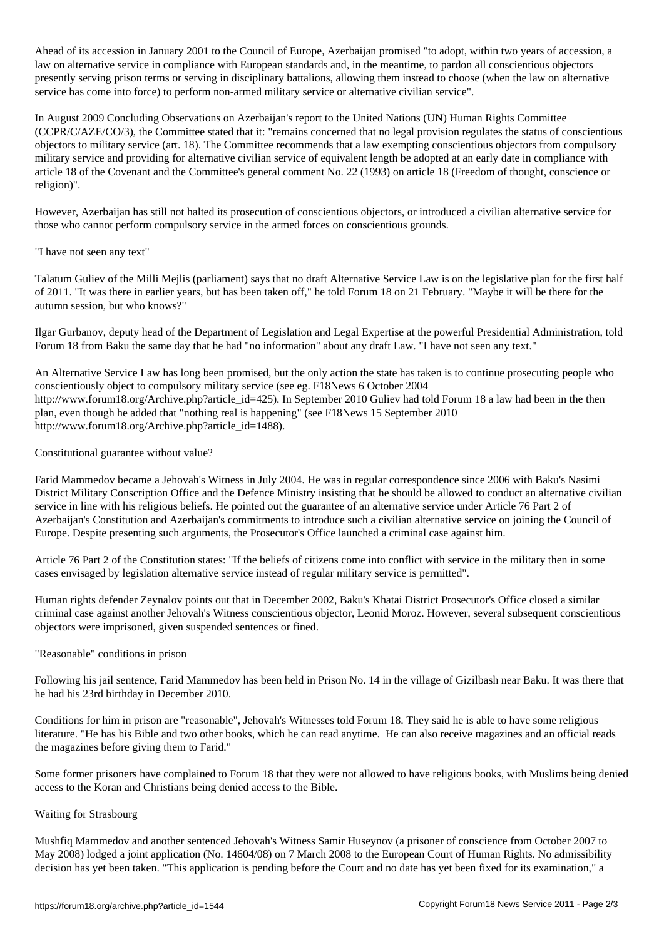Ahead of its accession in January 2001 to the Council of Europe, Azerbaijan promised "to adopt, within two years of accession, a law on alternative service in compliance with European standards and, in the meantime, to pardon all conscientious objectors presently serving prison terms or serving in disciplinary battalions, allowing them instead to choose (when the law on alternative service has come into force) to perform non-armed military service or alternative civilian service".

In August 2009 Concluding Observations on Azerbaijan's report to the United Nations (UN) Human Rights Committee (CCPR/C/AZE/CO/3), the Committee stated that it: "remains concerned that no legal provision regulates the status of conscientious objectors to military service (art. 18). The Committee recommends that a law exempting conscientious objectors from compulsory military service and providing for alternative civilian service of equivalent length be adopted at an early date in compliance with article 18 of the Covenant and the Committee's general comment No. 22 (1993) on article 18 (Freedom of thought, conscience or religion)".

However, Azerbaijan has still not halted its prosecution of conscientious objectors, or introduced a civilian alternative service for those who cannot perform compulsory service in the armed forces on conscientious grounds.

### "I have not seen any text"

Talatum Guliev of the Milli Mejlis (parliament) says that no draft Alternative Service Law is on the legislative plan for the first half of 2011. "It was there in earlier years, but has been taken off," he told Forum 18 on 21 February. "Maybe it will be there for the autumn session, but who knows?"

Ilgar Gurbanov, deputy head of the Department of Legislation and Legal Expertise at the powerful Presidential Administration, told Forum 18 from Baku the same day that he had "no information" about any draft Law. "I have not seen any text."

An Alternative Service Law has long been promised, but the only action the state has taken is to continue prosecuting people who conscientiously object to compulsory military service (see eg. F18News 6 October 2004 http://www.forum18.org/Archive.php?article\_id=425). In September 2010 Guliev had told Forum 18 a law had been in the then plan, even though he added that "nothing real is happening" (see F18News 15 September 2010 http://www.forum18.org/Archive.php?article\_id=1488).

#### Constitutional guarantee without value?

Farid Mammedov became a Jehovah's Witness in July 2004. He was in regular correspondence since 2006 with Baku's Nasimi District Military Conscription Office and the Defence Ministry insisting that he should be allowed to conduct an alternative civilian service in line with his religious beliefs. He pointed out the guarantee of an alternative service under Article 76 Part 2 of Azerbaijan's Constitution and Azerbaijan's commitments to introduce such a civilian alternative service on joining the Council of Europe. Despite presenting such arguments, the Prosecutor's Office launched a criminal case against him.

Article 76 Part 2 of the Constitution states: "If the beliefs of citizens come into conflict with service in the military then in some cases envisaged by legislation alternative service instead of regular military service is permitted".

Human rights defender Zeynalov points out that in December 2002, Baku's Khatai District Prosecutor's Office closed a similar criminal case against another Jehovah's Witness conscientious objector, Leonid Moroz. However, several subsequent conscientious objectors were imprisoned, given suspended sentences or fined.

#### "Reasonable" conditions in prison

Following his jail sentence, Farid Mammedov has been held in Prison No. 14 in the village of Gizilbash near Baku. It was there that he had his 23rd birthday in December 2010.

Conditions for him in prison are "reasonable", Jehovah's Witnesses told Forum 18. They said he is able to have some religious literature. "He has his Bible and two other books, which he can read anytime. He can also receive magazines and an official reads the magazines before giving them to Farid."

Some former prisoners have complained to Forum 18 that they were not allowed to have religious books, with Muslims being denied access to the Koran and Christians being denied access to the Bible.

#### Waiting for Strasbourg

Mushfiq Mammedov and another sentenced Jehovah's Witness Samir Huseynov (a prisoner of conscience from October 2007 to May 2008) lodged a joint application (No. 14604/08) on 7 March 2008 to the European Court of Human Rights. No admissibility decision has yet been taken. "This application is pending before the Court and no date has yet been fixed for its examination," a